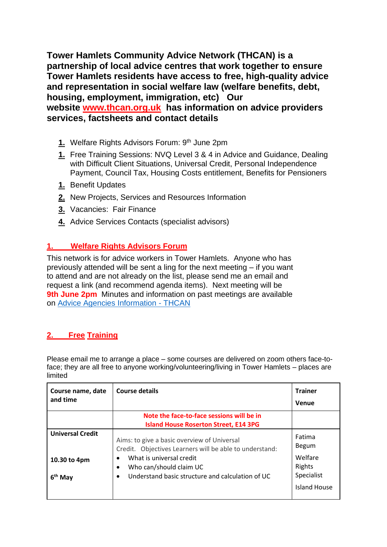**Tower Hamlets Community Advice Network (THCAN) is a partnership of local advice centres that work together to ensure Tower Hamlets residents have access to free, high-quality advice and representation in social welfare law (welfare benefits, debt, housing, employment, immigration, etc) Our website [www.thcan.org.uk](http://www.thcan.org.uk/) has information on advice providers services, factsheets and contact details**

- **1.** Welfare Rights Advisors Forum: 9<sup>th</sup> June 2pm
- **1.** Free Training Sessions: NVQ Level 3 & 4 in Advice and Guidance, Dealing with Difficult Client Situations, Universal Credit, Personal Independence Payment, Council Tax, Housing Costs entitlement, Benefits for Pensioners
- **1.** Benefit Updates
- **2.** New Projects, Services and Resources Information
- **3.** Vacancies: Fair Finance
- **4.** Advice Services Contacts (specialist advisors)

## **1. Welfare Rights Advisors Forum**

This network is for advice workers in Tower Hamlets. Anyone who has previously attended will be sent a ling for the next meeting – if you want to attend and are not already on the list, please send me an email and request a link (and recommend agenda items). Next meeting will be **9th June 2pm** Minutes and information on past meetings are available on [Advice Agencies Information -](https://thcan.org.uk/advice-agencies-information/) THCAN

# **2. Free Training**

Please email me to arrange a place – some courses are delivered on zoom others face-toface; they are all free to anyone working/volunteering/living in Tower Hamlets – places are limited

| Course name, date<br>and time                        | Course details                                                                                                                                                                                                    | <b>Trainer</b><br>Venue                                            |
|------------------------------------------------------|-------------------------------------------------------------------------------------------------------------------------------------------------------------------------------------------------------------------|--------------------------------------------------------------------|
|                                                      | Note the face-to-face sessions will be in<br><b>Island House Roserton Street, E14 3PG</b>                                                                                                                         |                                                                    |
| <b>Universal Credit</b><br>10.30 to 4pm<br>$6th$ May | Aims: to give a basic overview of Universal<br>Credit. Objectives Learners will be able to understand:<br>What is universal credit<br>Who can/should claim UC<br>Understand basic structure and calculation of UC | Fatima<br>Begum<br>Welfare<br>Rights<br>Specialist<br>Island House |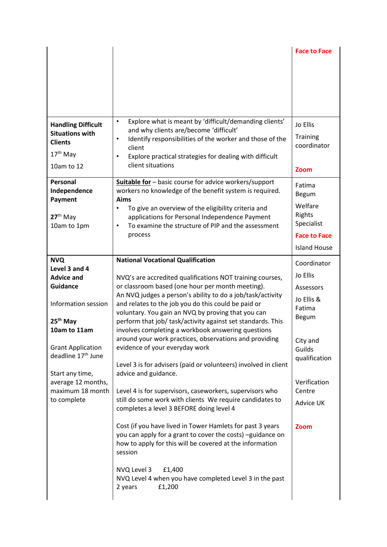|                                |                                                                                          | <b>Face to Face</b>  |
|--------------------------------|------------------------------------------------------------------------------------------|----------------------|
|                                |                                                                                          |                      |
|                                |                                                                                          |                      |
|                                |                                                                                          |                      |
|                                |                                                                                          |                      |
|                                |                                                                                          |                      |
|                                |                                                                                          |                      |
|                                | Explore what is meant by 'difficult/demanding clients'<br>$\bullet$                      |                      |
| <b>Handling Difficult</b>      | and why clients are/become 'difficult'                                                   | Jo Ellis             |
| <b>Situations with</b>         | Identify responsibilities of the worker and those of the<br>٠                            | <b>Training</b>      |
| <b>Clients</b>                 | client                                                                                   | coordinator          |
| 17 <sup>th</sup> May           | Explore practical strategies for dealing with difficult<br>$\bullet$                     |                      |
| 10am to 12                     | client situations                                                                        |                      |
|                                |                                                                                          | Zoom                 |
| Personal                       | Suitable for - basic course for advice workers/support                                   | Fatima               |
| Independence                   | workers no knowledge of the benefit system is required.                                  | Begum                |
| Payment                        | Aims                                                                                     |                      |
|                                | To give an overview of the eligibility criteria and<br>$\bullet$                         | Welfare              |
| 27 <sup>th</sup> May           | applications for Personal Independence Payment                                           | Rights<br>Specialist |
| 10am to 1pm                    | To examine the structure of PIP and the assessment<br>$\bullet$                          |                      |
|                                | process                                                                                  | <b>Face to Face</b>  |
|                                |                                                                                          | <b>Island House</b>  |
| <b>NVQ</b>                     | <b>National Vocational Qualification</b>                                                 | Coordinator          |
| Level 3 and 4                  |                                                                                          |                      |
| <b>Advice and</b>              | NVQ's are accredited qualifications NOT training courses,                                | Jo Ellis             |
| <b>Guidance</b>                | or classroom based (one hour per month meeting).                                         | Assessors            |
|                                | An NVQ judges a person's ability to do a job/task/activity                               | Jo Ellis &           |
| Information session            | and relates to the job you do this could be paid or                                      | Fatima               |
|                                | voluntary. You gain an NVQ by proving that you can                                       | <b>Begum</b>         |
| 25 <sup>th</sup> May           | perform that job/ task/activity against set standards. This                              |                      |
| 10am to 11am                   | involves completing a workbook answering questions                                       |                      |
| <b>Grant Application</b>       | around your work practices, observations and providing<br>evidence of your everyday work | City and             |
| deadline 17 <sup>th</sup> June |                                                                                          | Guilds               |
|                                | Level 3 is for advisers (paid or volunteers) involved in client                          | qualification        |
| Start any time,                | advice and guidance.                                                                     |                      |
| average 12 months,             |                                                                                          | Verification         |
| maximum 18 month               | Level 4 is for supervisors, caseworkers, supervisors who                                 | Centre               |
| to complete                    | still do some work with clients We require candidates to                                 | Advice UK            |
|                                | completes a level 3 BEFORE doing level 4                                                 |                      |
|                                |                                                                                          |                      |
|                                | Cost (if you have lived in Tower Hamlets for past 3 years                                | Zoom                 |
|                                | you can apply for a grant to cover the costs) -guidance on                               |                      |
|                                | how to apply for this will be covered at the information                                 |                      |
|                                | session                                                                                  |                      |
|                                | NVQ Level 3<br>£1,400                                                                    |                      |
|                                | NVQ Level 4 when you have completed Level 3 in the past                                  |                      |
|                                |                                                                                          |                      |
|                                | 2 years<br>£1,200                                                                        |                      |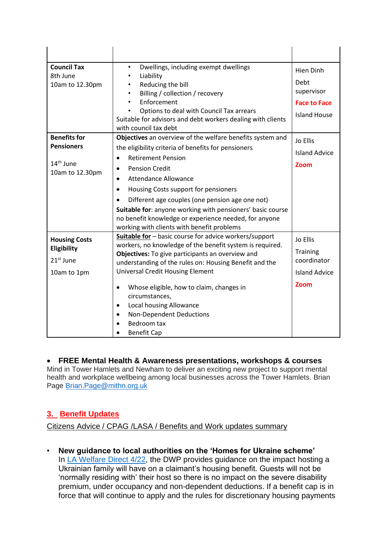| <b>Council Tax</b><br>8th June | Dwellings, including exempt dwellings<br>$\bullet$<br>Liability<br>$\bullet$                                                                                      | Hien Dinh            |
|--------------------------------|-------------------------------------------------------------------------------------------------------------------------------------------------------------------|----------------------|
| 10am to 12.30pm                | Reducing the bill<br>$\bullet$<br>Billing / collection / recovery<br>$\bullet$                                                                                    | Debt<br>supervisor   |
|                                | Enforcement                                                                                                                                                       | <b>Face to Face</b>  |
|                                | Options to deal with Council Tax arrears<br>Suitable for advisors and debt workers dealing with clients<br>with council tax debt                                  | <b>Island House</b>  |
| <b>Benefits for</b>            | Objectives an overview of the welfare benefits system and                                                                                                         | Jo Ellis             |
| <b>Pensioners</b>              | the eligibility criteria of benefits for pensioners<br><b>Retirement Pension</b><br>$\bullet$                                                                     | <b>Island Advice</b> |
| $14th$ June<br>10am to 12.30pm | <b>Pension Credit</b><br>$\bullet$                                                                                                                                | Zoom                 |
|                                | <b>Attendance Allowance</b><br>$\bullet$                                                                                                                          |                      |
|                                | Housing Costs support for pensioners<br>$\bullet$                                                                                                                 |                      |
|                                | Different age couples (one pension age one not)                                                                                                                   |                      |
|                                | Suitable for: anyone working with pensioners' basic course<br>no benefit knowledge or experience needed, for anyone<br>working with clients with benefit problems |                      |
| <b>Housing Costs</b>           | Suitable for - basic course for advice workers/support                                                                                                            | Jo Ellis             |
| Eligibility                    | workers, no knowledge of the benefit system is required.<br>Objectives: To give participants an overview and                                                      | <b>Training</b>      |
| $21st$ June                    | understanding of the rules on: Housing Benefit and the                                                                                                            | coordinator          |
| 10am to 1pm                    | <b>Universal Credit Housing Element</b>                                                                                                                           | <b>Island Advice</b> |
|                                | Whose eligible, how to claim, changes in<br>$\bullet$<br>circumstances,                                                                                           | Zoom                 |
|                                | Local housing Allowance<br>$\bullet$                                                                                                                              |                      |
|                                | <b>Non-Dependent Deductions</b><br>$\bullet$                                                                                                                      |                      |
|                                | Bedroom tax                                                                                                                                                       |                      |
|                                | <b>Benefit Cap</b>                                                                                                                                                |                      |

### • **FREE Mental Health & Awareness presentations, workshops & courses**

Mind in Tower Hamlets and Newham to deliver an exciting new project to support mental health and workplace wellbeing among local businesses across the Tower Hamlets. Brian Page [Brian.Page@mithn.org.uk](mailto:Brian.Page@mithn.org.uk)

## **3. Benefit Updates**

Citizens Advice / CPAG /LASA / Benefits and Work updates summary

• **New guidance to local authorities on the 'Homes for Ukraine scheme'** In [LA Welfare Direct 4/22,](https://citizensadvice.us9.list-manage.com/track/click?u=f2e5709e33ab37630d8a8d4be&id=00c52c7bf9&e=588bae1b2e) the DWP provides guidance on the impact hosting a Ukrainian family will have on a claimant's housing benefit. Guests will not be 'normally residing with' their host so there is no impact on the severe disability premium, under occupancy and non-dependent deductions. If a benefit cap is in force that will continue to apply and the rules for discretionary housing payments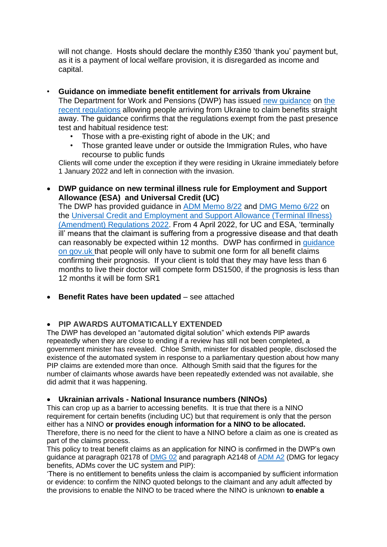will not change. Hosts should declare the monthly £350 'thank you' payment but, as it is a payment of local welfare provision, it is disregarded as income and capital.

- **Guidance on immediate benefit entitlement for arrivals from Ukraine** The Department for Work and Pensions (DWP) has issued [new guidance](https://citizensadvice.us9.list-manage.com/track/click?u=f2e5709e33ab37630d8a8d4be&id=97b9d4af3e&e=588bae1b2e) on [the](https://citizensadvice.us9.list-manage.com/track/click?u=f2e5709e33ab37630d8a8d4be&id=7b451d1a37&e=588bae1b2e)  [recent regulations](https://citizensadvice.us9.list-manage.com/track/click?u=f2e5709e33ab37630d8a8d4be&id=7b451d1a37&e=588bae1b2e) allowing people arriving from Ukraine to claim benefits straight away. The guidance confirms that the regulations exempt from the past presence test and habitual residence test:
	- Those with a pre-existing right of abode in the UK; and
	- Those granted leave under or outside the Immigration Rules, who have recourse to public funds

Clients will come under the exception if they were residing in Ukraine immediately before 1 January 2022 and left in connection with the invasion.

• **DWP guidance on new terminal illness rule for Employment and Support Allowance (ESA) and Universal Credit (UC)**

The DWP has provided guidance in [ADM Memo 8/22](https://citizensadvice.us9.list-manage.com/track/click?u=f2e5709e33ab37630d8a8d4be&id=01c489e6de&e=588bae1b2e) and [DMG Memo 6/22](https://citizensadvice.us9.list-manage.com/track/click?u=f2e5709e33ab37630d8a8d4be&id=732c0a7cac&e=588bae1b2e) on the [Universal Credit and Employment and Support Allowance \(Terminal Illness\)](https://citizensadvice.us9.list-manage.com/track/click?u=f2e5709e33ab37630d8a8d4be&id=80c6a9cbcc&e=588bae1b2e)  [\(Amendment\) Regulations 2022.](https://citizensadvice.us9.list-manage.com/track/click?u=f2e5709e33ab37630d8a8d4be&id=80c6a9cbcc&e=588bae1b2e) From 4 April 2022, for UC and ESA, 'terminally ill' means that the claimant is suffering from a progressive disease and that death can reasonably be expected within 12 months. DWP has confirmed in [guidance](https://citizensadvice.us9.list-manage.com/track/click?u=f2e5709e33ab37630d8a8d4be&id=6b700d9fac&e=588bae1b2e)  [on gov.uk t](https://citizensadvice.us9.list-manage.com/track/click?u=f2e5709e33ab37630d8a8d4be&id=6b700d9fac&e=588bae1b2e)hat people will only have to submit one form for all benefit claims confirming their prognosis. If your client is told that they may have less than 6 months to live their doctor will compete form DS1500, if the prognosis is less than 12 months it will be form SR1

• **Benefit Rates have been updated** – see attached

### • **PIP AWARDS AUTOMATICALLY EXTENDED**

The DWP has developed an "automated digital solution" which extends PIP awards repeatedly when they are close to ending if a review has still not been completed, a government minister has revealed. Chloe Smith, minister for disabled people, disclosed the existence of the automated system in response to a parliamentary question about how many PIP claims are extended more than once. Although Smith said that the figures for the number of claimants whose awards have been repeatedly extended was not available, she did admit that it was happening.

### • **Ukrainian arrivals - National Insurance numbers (NINOs)**

This can crop up as a barrier to accessing benefits. It is true that there is a NINO requirement for certain benefits (including UC) but that requirement is only that the person either has a NINO **or provides enough information for a NINO to be allocated.**  Therefore, there is no need for the client to have a NINO before a claim as one is created as part of the claims process.

This policy to treat benefit claims as an application for NINO is confirmed in the DWP's own guidance at paragraph 02178 of [DMG 02](https://citizensadvice.us9.list-manage.com/track/click?u=f2e5709e33ab37630d8a8d4be&id=2a568e0928&e=588bae1b2e) and paragraph A2148 of [ADM A2](https://citizensadvice.us9.list-manage.com/track/click?u=f2e5709e33ab37630d8a8d4be&id=dd9cacd92a&e=588bae1b2e) (DMG for legacy benefits, ADMs cover the UC system and PIP):

'There is no entitlement to benefits unless the claim is accompanied by sufficient information or evidence: to confirm the NINO quoted belongs to the claimant and any adult affected by the provisions to enable the NINO to be traced where the NINO is unknown **to enable a**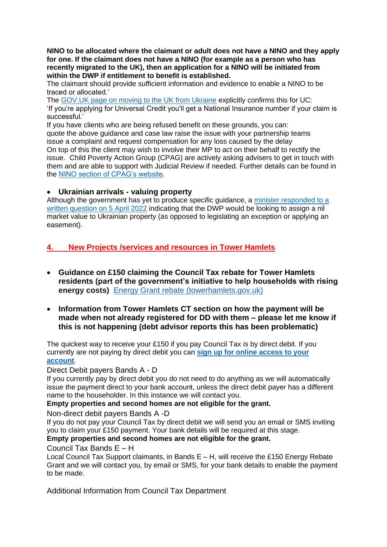**NINO to be allocated where the claimant or adult does not have a NINO and they apply for one. If the claimant does not have a NINO (for example as a person who has recently migrated to the UK), then an application for a NINO will be initiated from within the DWP if entitlement to benefit is established.**

The claimant should provide sufficient information and evidence to enable a NINO to be traced or allocated.'

The [GOV.UK page on moving to the UK from Ukraine](https://citizensadvice.us9.list-manage.com/track/click?u=f2e5709e33ab37630d8a8d4be&id=7fa56f12a3&e=588bae1b2e) explicitly confirms this for UC: 'If you're applying for Universal Credit you'll get a National Insurance number if your claim is successful.'

If you have clients who are being refused benefit on these grounds, you can: quote the above guidance and case law raise the issue with your partnership teams issue a complaint and request compensation for any loss caused by the delay On top of this the client may wish to involve their MP to act on their behalf to rectify the issue. Child Poverty Action Group (CPAG) are actively asking advisers to get in touch with them and are able to support with Judicial Review if needed. Further details can be found in the [NINO section of CPAG's website.](https://citizensadvice.us9.list-manage.com/track/click?u=f2e5709e33ab37630d8a8d4be&id=61f7d56f95&e=588bae1b2e)

### • **Ukrainian arrivals - valuing property**

Although the government has yet to produce specific guidance, a [minister responded to a](https://citizensadvice.us9.list-manage.com/track/click?u=f2e5709e33ab37630d8a8d4be&id=7da1af0ea4&e=588bae1b2e)  [written question on 5 April 2022](https://citizensadvice.us9.list-manage.com/track/click?u=f2e5709e33ab37630d8a8d4be&id=7da1af0ea4&e=588bae1b2e) indicating that the DWP would be looking to assign a nil market value to Ukrainian property (as opposed to legislating an exception or applying an easement).

## **4. New Projects /services and resources in Tower Hamlets**

- **Guidance on £150 claiming the Council Tax rebate for Tower Hamlets residents (part of the government's initiative to help households with rising energy costs)** [Energy Grant rebate \(towerhamlets.gov.uk\)](https://www.towerhamlets.gov.uk/lgnl/council_and_democracy/council_tax/Energy-Grant-rebate.aspx)
- **Information from Tower Hamlets CT section on how the payment will be made when not already registered for DD with them – please let me know if this is not happening (debt advisor reports this has been problematic)**

The quickest way to receive your £150 if you pay Council Tax is by direct debit. If you currently are not paying by direct debit you can **[sign up for online access to your](https://myaccounts.towerhamlets.gov.uk/scripts/OPENPortal-Live.wsc/common/register.p)  [account](https://myaccounts.towerhamlets.gov.uk/scripts/OPENPortal-Live.wsc/common/register.p)**.

### Direct Debit payers Bands A - D

If you currently pay by direct debit you do not need to do anything as we will automatically issue the payment direct to your bank account, unless the direct debit payer has a different name to the householder. In this instance we will contact you.

### **Empty properties and second homes are not eligible for the grant.**

Non-direct debit payers Bands A -D

If you do not pay your Council Tax by direct debit we will send you an email or SMS inviting you to claim your £150 payment. Your bank details will be required at this stage. **Empty properties and second homes are not eligible for the grant.**

## Council Tax Bands E – H

Local Council Tax Support claimants, in Bands E – H, will receive the £150 Energy Rebate Grant and we will contact you, by email or SMS, for your bank details to enable the payment to be made.

Additional Information from Council Tax Department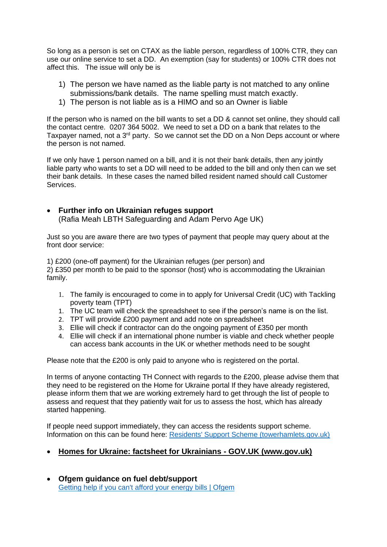So long as a person is set on CTAX as the liable person, regardless of 100% CTR, they can use our online service to set a DD. An exemption (say for students) or 100% CTR does not affect this. The issue will only be is

- 1) The person we have named as the liable party is not matched to any online submissions/bank details. The name spelling must match exactly.
- 1) The person is not liable as is a HIMO and so an Owner is liable

If the person who is named on the bill wants to set a DD & cannot set online, they should call the contact centre. 0207 364 5002. We need to set a DD on a bank that relates to the Taxpayer named, not a 3<sup>rd</sup> party. So we cannot set the DD on a Non Deps account or where the person is not named.

If we only have 1 person named on a bill, and it is not their bank details, then any jointly liable party who wants to set a DD will need to be added to the bill and only then can we set their bank details. In these cases the named billed resident named should call Customer **Services** 

• **Further info on Ukrainian refuges support** (Rafia Meah LBTH Safeguarding and Adam Pervo Age UK)

Just so you are aware there are two types of payment that people may query about at the front door service:

1) £200 (one-off payment) for the Ukrainian refuges (per person) and 2) £350 per month to be paid to the sponsor (host) who is accommodating the Ukrainian family.

- 1. The family is encouraged to come in to apply for Universal Credit (UC) with Tackling poverty team (TPT)
- 1. The UC team will check the spreadsheet to see if the person's name is on the list.
- 2. TPT will provide £200 payment and add note on spreadsheet
- 3. Ellie will check if contractor can do the ongoing payment of £350 per month
- 4. Ellie will check if an international phone number is viable and check whether people can access bank accounts in the UK or whether methods need to be sought

Please note that the £200 is only paid to anyone who is registered on the portal.

In terms of anyone contacting TH Connect with regards to the £200, please advise them that they need to be registered on the Home for Ukraine portal If they have already registered, please inform them that we are working extremely hard to get through the list of people to assess and request that they patiently wait for us to assess the host, which has already started happening.

If people need support immediately, they can access the residents support scheme. Information on this can be found here: [Residents' Support Scheme \(towerhamlets.gov.uk\)](https://www.towerhamlets.gov.uk/lgnl/advice_and_benefits/Residents_Support_Scheme.aspx)

- **[Homes for Ukraine: factsheet for Ukrainians -](https://www.gov.uk/government/publications/homes-for-ukraine-factsheet-for-ukrainians?utm_medium=email&utm_campaign=govuk-notifications-topic&utm_source=ca091d95-635a-429d-b562-cc9d17276c15&utm_content=immediately) GOV.UK (www.gov.uk)**
- **Ofgem guidance on fuel debt/support**  [Getting help if you can't afford your energy bills | Ofgem](https://www.ofgem.gov.uk/information-consumers/energy-advice-households/getting-help-if-you-cant-afford-your-energy-bills)